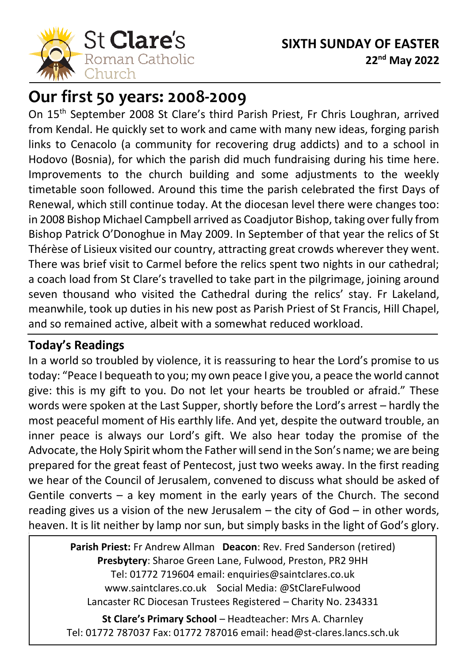

# **Our first 50 years: 2008-2009**

On 15<sup>th</sup> September 2008 St Clare's third Parish Priest, Fr Chris Loughran, arrived from Kendal. He quickly set to work and came with many new ideas, forging parish links to Cenacolo (a community for recovering drug addicts) and to a school in Hodovo (Bosnia), for which the parish did much fundraising during his time here. Improvements to the church building and some adjustments to the weekly timetable soon followed. Around this time the parish celebrated the first Days of Renewal, which still continue today. At the diocesan level there were changes too: in 2008 Bishop Michael Campbell arrived as Coadjutor Bishop, taking over fully from Bishop Patrick O'Donoghue in May 2009. In September of that year the relics of St Thérèse of Lisieux visited our country, attracting great crowds wherever they went. There was brief visit to Carmel before the relics spent two nights in our cathedral; a coach load from St Clare's travelled to take part in the pilgrimage, joining around seven thousand who visited the Cathedral during the relics' stay. Fr Lakeland, meanwhile, took up duties in his new post as Parish Priest of St Francis, Hill Chapel, and so remained active, albeit with a somewhat reduced workload.

### **Today's Readings**

In a world so troubled by violence, it is reassuring to hear the Lord's promise to us today: "Peace I bequeath to you; my own peace I give you, a peace the world cannot give: this is my gift to you. Do not let your hearts be troubled or afraid." These words were spoken at the Last Supper, shortly before the Lord's arrest – hardly the most peaceful moment of His earthly life. And yet, despite the outward trouble, an inner peace is always our Lord's gift. We also hear today the promise of the Advocate, the Holy Spirit whom the Father will send in the Son's name; we are being prepared for the great feast of Pentecost, just two weeks away. In the first reading we hear of the Council of Jerusalem, convened to discuss what should be asked of Gentile converts – a key moment in the early years of the Church. The second reading gives us a vision of the new Jerusalem – the city of God – in other words, heaven. It is lit neither by lamp nor sun, but simply basks in the light of God's glory.

> **Parish Priest:** Fr Andrew Allman **Deacon**: Rev. Fred Sanderson (retired) **Presbytery**: Sharoe Green Lane, Fulwood, Preston, PR2 9HH Tel: 01772 719604 email: enquiries@saintclares.co.uk www.saintclares.co.uk Social Media: @StClareFulwood Lancaster RC Diocesan Trustees Registered – Charity No. 234331

**St Clare's Primary School** – Headteacher: Mrs A. Charnley Tel: 01772 787037 Fax: 01772 787016 email: head@st-clares.lancs.sch.uk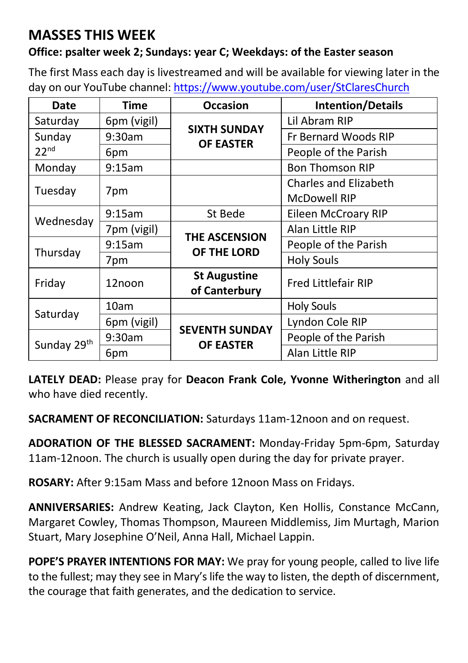## **MASSES THIS WEEK**

#### **Office: psalter week 2; Sundays: year C; Weekdays: of the Easter season**

The first Mass each day is livestreamed and will be available for viewing later in the day on our YouTube channel[: https://www.youtube.com/user/StClaresChurch](https://www.youtube.com/user/StClaresChurch)

| Date                       | <b>Time</b> | <b>Occasion</b>                           | <b>Intention/Details</b>     |  |
|----------------------------|-------------|-------------------------------------------|------------------------------|--|
| Saturday                   | 6pm (vigil) | <b>SIXTH SUNDAY</b><br><b>OF EASTER</b>   | Lil Abram RIP                |  |
| Sunday<br>22 <sup>nd</sup> | 9:30am      |                                           | Fr Bernard Woods RIP         |  |
|                            | 6pm         |                                           | People of the Parish         |  |
| Monday                     | 9:15am      |                                           | <b>Bon Thomson RIP</b>       |  |
|                            |             |                                           | <b>Charles and Elizabeth</b> |  |
| Tuesday                    | 7pm         |                                           | <b>McDowell RIP</b>          |  |
| Wednesday                  | 9:15am      | St Bede                                   | Eileen McCroary RIP          |  |
|                            | 7pm (vigil) | <b>THE ASCENSION</b><br>OF THE LORD       | Alan Little RIP              |  |
|                            | 9:15am      |                                           | People of the Parish         |  |
| Thursday                   | 7pm         |                                           | <b>Holy Souls</b>            |  |
| Friday                     | 12noon      | <b>St Augustine</b><br>of Canterbury      | <b>Fred Littlefair RIP</b>   |  |
|                            | 10am        |                                           | <b>Holy Souls</b>            |  |
| Saturday                   | 6pm (vigil) | <b>SEVENTH SUNDAY</b><br><b>OF EASTER</b> | Lyndon Cole RIP              |  |
| Sunday 29th                | 9:30am      |                                           | People of the Parish         |  |
|                            | 6pm         |                                           | Alan Little RIP              |  |

**LATELY DEAD:** Please pray for **Deacon Frank Cole, Yvonne Witherington** and all who have died recently.

**SACRAMENT OF RECONCILIATION:** Saturdays 11am-12noon and on request.

**ADORATION OF THE BLESSED SACRAMENT:** Monday-Friday 5pm-6pm, Saturday 11am-12noon. The church is usually open during the day for private prayer.

**ROSARY:** After 9:15am Mass and before 12noon Mass on Fridays.

**ANNIVERSARIES:** Andrew Keating, Jack Clayton, Ken Hollis, Constance McCann, Margaret Cowley, Thomas Thompson, Maureen Middlemiss, Jim Murtagh, Marion Stuart, Mary Josephine O'Neil, Anna Hall, Michael Lappin.

**POPE'S PRAYER INTENTIONS FOR MAY:** We pray for young people, called to live life to the fullest; may they see in Mary's life the way to listen, the depth of discernment, the courage that faith generates, and the dedication to service.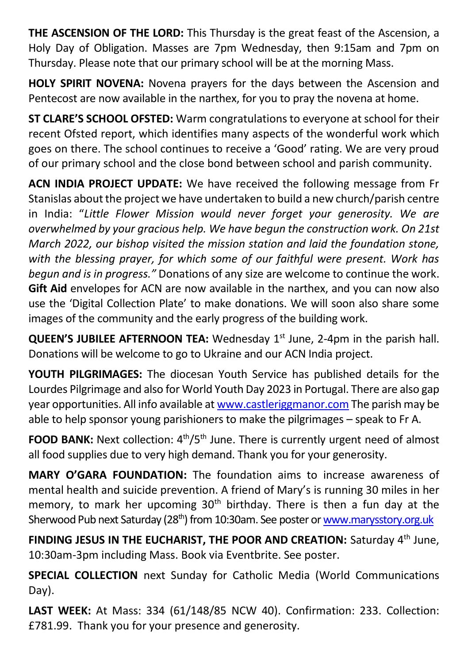**THE ASCENSION OF THE LORD:** This Thursday is the great feast of the Ascension, a Holy Day of Obligation. Masses are 7pm Wednesday, then 9:15am and 7pm on Thursday. Please note that our primary school will be at the morning Mass.

**HOLY SPIRIT NOVENA:** Novena prayers for the days between the Ascension and Pentecost are now available in the narthex, for you to pray the novena at home.

**ST CLARE'S SCHOOL OFSTED:** Warm congratulations to everyone at school for their recent Ofsted report, which identifies many aspects of the wonderful work which goes on there. The school continues to receive a 'Good' rating. We are very proud of our primary school and the close bond between school and parish community.

**ACN INDIA PROJECT UPDATE:** We have received the following message from Fr Stanislas about the project we have undertaken to build a new church/parish centre in India: "*Little Flower Mission would never forget your generosity. We are overwhelmed by your gracious help. We have begun the construction work. On 21st March 2022, our bishop visited the mission station and laid the foundation stone, with the blessing prayer, for which some of our faithful were present. Work has begun and is in progress."* Donations of any size are welcome to continue the work. **Gift Aid** envelopes for ACN are now available in the narthex, and you can now also use the 'Digital Collection Plate' to make donations. We will soon also share some images of the community and the early progress of the building work.

**QUEEN'S JUBILEE AFTERNOON TEA:** Wednesday 1<sup>st</sup> June, 2-4pm in the parish hall. Donations will be welcome to go to Ukraine and our ACN India project.

**YOUTH PILGRIMAGES:** The diocesan Youth Service has published details for the Lourdes Pilgrimage and also for World Youth Day 2023 in Portugal. There are also gap year opportunities. All info available a[t www.castleriggmanor.com](http://www.castleriggmanor.com/) The parish may be able to help sponsor young parishioners to make the pilgrimages – speak to Fr A.

FOOD BANK: Next collection: 4<sup>th</sup>/5<sup>th</sup> June. There is currently urgent need of almost all food supplies due to very high demand. Thank you for your generosity.

**MARY O'GARA FOUNDATION:** The foundation aims to increase awareness of mental health and suicide prevention. A friend of Mary's is running 30 miles in her memory, to mark her upcoming 30<sup>th</sup> birthday. There is then a fun day at the Sherwood Pub next Saturday (28<sup>th</sup>) from 10:30am. See poster o[r www.marysstory.org.uk](http://www.marysstory.org.uk/)

FINDING JESUS IN THE EUCHARIST, THE POOR AND CREATION: Saturday 4<sup>th</sup> June, 10:30am-3pm including Mass. Book via Eventbrite. See poster.

**SPECIAL COLLECTION** next Sunday for Catholic Media (World Communications Day).

**LAST WEEK:** At Mass: 334 (61/148/85 NCW 40). Confirmation: 233. Collection: £781.99. Thank you for your presence and generosity.